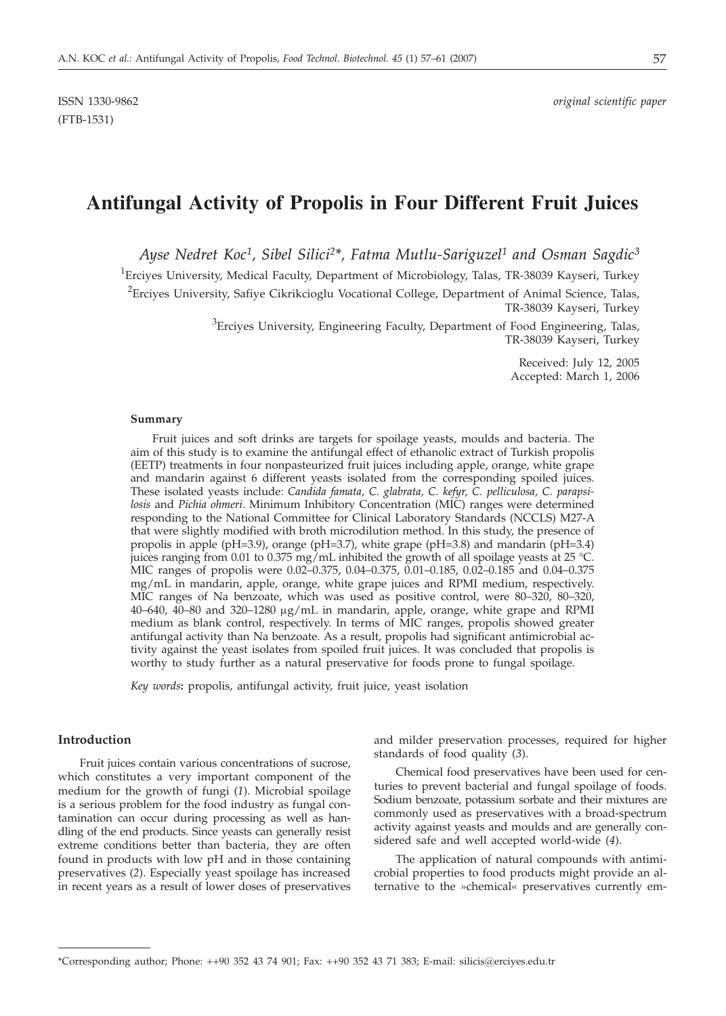ISSN 1330-9862 *original scientific paper*

# **Antifungal Activity of Propolis in Four Different Fruit Juices**

*Ayse Nedret Koc1, Sibel Silici2\*, Fatma Mutlu-Sariguzel1 and Osman Sagdic3*

<sup>1</sup>Erciyes University, Medical Faculty, Department of Microbiology, Talas, TR-38039 Kayseri, Turkey

<sup>2</sup> Erciyes University, Safiye Cikrikcioglu Vocational College, Department of Animal Science, Talas, TR-38039 Kayseri, Turkey

> ${}^{3}$ Erciyes University, Engineering Faculty, Department of Food Engineering, Talas, TR-38039 Kayseri, Turkey

> > Received: July 12, 2005 Accepted: March 1, 2006

#### **Summary**

Fruit juices and soft drinks are targets for spoilage yeasts, moulds and bacteria. The aim of this study is to examine the antifungal effect of ethanolic extract of Turkish propolis (EETP) treatments in four nonpasteurized fruit juices including apple, orange, white grape and mandarin against 6 different yeasts isolated from the corresponding spoiled juices. These isolated yeasts include: *Candida famata, C. glabrata, C. kefyr, C. pelliculosa, C. parapsilosis* and *Pichia ohmeri*. Minimum Inhibitory Concentration (MIC) ranges were determined responding to the National Committee for Clinical Laboratory Standards (NCCLS) M27-A that were slightly modified with broth microdilution method. In this study, the presence of propolis in apple (pH=3.9), orange (pH=3.7), white grape (pH=3.8) and mandarin (pH=3.4) juices ranging from 0.01 to 0.375 mg/mL inhibited the growth of all spoilage yeasts at 25 °C. MIC ranges of propolis were 0.02–0.375, 0.04–0.375, 0.01–0.185, 0.02–0.185 and 0.04–0.375 mg/mL in mandarin, apple, orange, white grape juices and RPMI medium, respectively. MIC ranges of Na benzoate, which was used as positive control, were 80–320, 80–320, 40–640, 40–80 and 320–1280  $\mu$ g/mL in mandarin, apple, orange, white grape and RPMI medium as blank control, respectively. In terms of MIC ranges, propolis showed greater antifungal activity than Na benzoate. As a result, propolis had significant antimicrobial activity against the yeast isolates from spoiled fruit juices. It was concluded that propolis is worthy to study further as a natural preservative for foods prone to fungal spoilage.

*Key words***:** propolis, antifungal activity, fruit juice, yeast isolation

## **Introduction**

Fruit juices contain various concentrations of sucrose, which constitutes a very important component of the medium for the growth of fungi (*1*). Microbial spoilage is a serious problem for the food industry as fungal contamination can occur during processing as well as handling of the end products. Since yeasts can generally resist extreme conditions better than bacteria, they are often found in products with low pH and in those containing preservatives (*2*). Especially yeast spoilage has increased in recent years as a result of lower doses of preservatives

and milder preservation processes, required for higher standards of food quality (*3*).

Chemical food preservatives have been used for centuries to prevent bacterial and fungal spoilage of foods. Sodium benzoate, potassium sorbate and their mixtures are commonly used as preservatives with a broad-spectrum activity against yeasts and moulds and are generally considered safe and well accepted world-wide (*4*).

The application of natural compounds with antimicrobial properties to food products might provide an alternative to the »chemical« preservatives currently em-

<sup>\*</sup>Corresponding author; Phone: ++90 352 43 74 901; Fax: ++90 352 43 71 383; E-mail: silicis*@*erciyes.edu.tr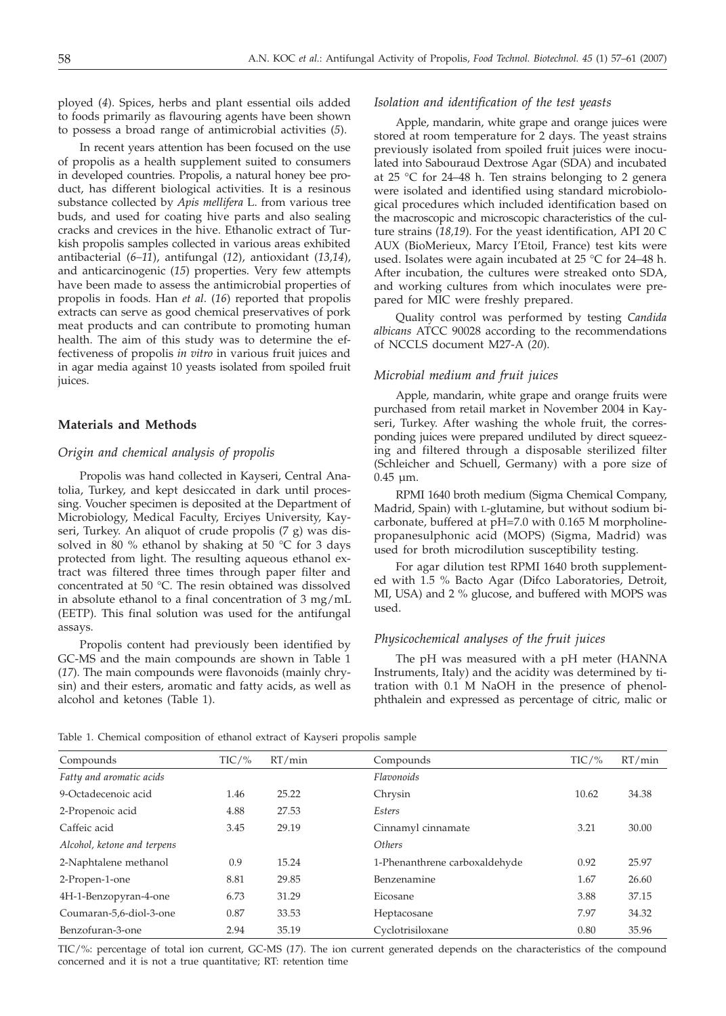ployed (*4*). Spices, herbs and plant essential oils added to foods primarily as flavouring agents have been shown to possess a broad range of antimicrobial activities (*5*).

In recent years attention has been focused on the use of propolis as a health supplement suited to consumers in developed countries. Propolis, a natural honey bee product, has different biological activities. It is a resinous substance collected by *Apis mellifera* L. from various tree buds, and used for coating hive parts and also sealing cracks and crevices in the hive. Ethanolic extract of Turkish propolis samples collected in various areas exhibited antibacterial (*6–11*), antifungal (*12*), antioxidant (*13,14*), and anticarcinogenic (*15*) properties. Very few attempts have been made to assess the antimicrobial properties of propolis in foods. Han *et al*. (*16*) reported that propolis extracts can serve as good chemical preservatives of pork meat products and can contribute to promoting human health. The aim of this study was to determine the effectiveness of propolis *in vitro* in various fruit juices and in agar media against 10 yeasts isolated from spoiled fruit juices.

## **Materials and Methods**

#### *Origin and chemical analysis of propolis*

Propolis was hand collected in Kayseri, Central Anatolia, Turkey, and kept desiccated in dark until processing. Voucher specimen is deposited at the Department of Microbiology, Medical Faculty, Erciyes University, Kayseri, Turkey. An aliquot of crude propolis (7 g) was dissolved in 80 % ethanol by shaking at 50 °C for 3 days protected from light. The resulting aqueous ethanol extract was filtered three times through paper filter and concentrated at 50 °C. The resin obtained was dissolved in absolute ethanol to a final concentration of 3 mg/mL (EETP). This final solution was used for the antifungal assays.

Propolis content had previously been identified by GC-MS and the main compounds are shown in Table 1 (*17*). The main compounds were flavonoids (mainly chrysin) and their esters, aromatic and fatty acids, as well as alcohol and ketones (Table 1).

## *Isolation and identification of the test yeasts*

Apple, mandarin, white grape and orange juices were stored at room temperature for 2 days. The yeast strains previously isolated from spoiled fruit juices were inoculated into Sabouraud Dextrose Agar (SDA) and incubated at 25  $\degree$ C for 24–48 h. Ten strains belonging to 2 genera were isolated and identified using standard microbiological procedures which included identification based on the macroscopic and microscopic characteristics of the culture strains (*18,19*). For the yeast identification, API 20 C AUX (BioMerieux, Marcy I'Etoil, France) test kits were used. Isolates were again incubated at 25 °C for 24–48 h. After incubation, the cultures were streaked onto SDA, and working cultures from which inoculates were prepared for MIC were freshly prepared.

Quality control was performed by testing *Candida albicans* ATCC 90028 according to the recommendations of NCCLS document M27-A (*20*).

## *Microbial medium and fruit juices*

Apple, mandarin, white grape and orange fruits were purchased from retail market in November 2004 in Kayseri, Turkey. After washing the whole fruit, the corresponding juices were prepared undiluted by direct squeezing and filtered through a disposable sterilized filter (Schleicher and Schuell, Germany) with a pore size of 0.45 µm.

RPMI 1640 broth medium (Sigma Chemical Company, Madrid, Spain) with L-glutamine, but without sodium bicarbonate, buffered at pH=7.0 with 0.165 M morpholinepropanesulphonic acid (MOPS) (Sigma, Madrid) was used for broth microdilution susceptibility testing.

For agar dilution test RPMI 1640 broth supplemented with 1.5 % Bacto Agar (Difco Laboratories, Detroit, MI, USA) and 2 % glucose, and buffered with MOPS was used.

## *Physicochemical analyses of the fruit juices*

The pH was measured with a pH meter (HANNA Instruments, Italy) and the acidity was determined by titration with 0.1 M NaOH in the presence of phenolphthalein and expressed as percentage of citric, malic or

Table 1. Chemical composition of ethanol extract of Kayseri propolis sample

| Compounds                   | $TIC/$ % | RT/min | Compounds                     | $TIC/$ % | RT/min |
|-----------------------------|----------|--------|-------------------------------|----------|--------|
| Fatty and aromatic acids    |          |        | Flavonoids                    |          |        |
| 9-Octadecenoic acid         | 1.46     | 25.22  | Chrysin                       | 10.62    | 34.38  |
| 2-Propenoic acid            | 4.88     | 27.53  | Esters                        |          |        |
| Caffeic acid                | 3.45     | 29.19  | Cinnamyl cinnamate            | 3.21     | 30.00  |
| Alcohol, ketone and terpens |          |        | Others                        |          |        |
| 2-Naphtalene methanol       | 0.9      | 15.24  | 1-Phenanthrene carboxaldehyde | 0.92     | 25.97  |
| 2-Propen-1-one              | 8.81     | 29.85  | Benzenamine                   | 1.67     | 26.60  |
| 4H-1-Benzopyran-4-one       | 6.73     | 31.29  | Eicosane                      | 3.88     | 37.15  |
| Coumaran-5,6-diol-3-one     | 0.87     | 33.53  | Heptacosane                   | 7.97     | 34.32  |
| Benzofuran-3-one            | 2.94     | 35.19  | Cyclotrisiloxane              | 0.80     | 35.96  |

TIC/%: percentage of total ion current, GC-MS (*17*). The ion current generated depends on the characteristics of the compound concerned and it is not a true quantitative; RT: retention time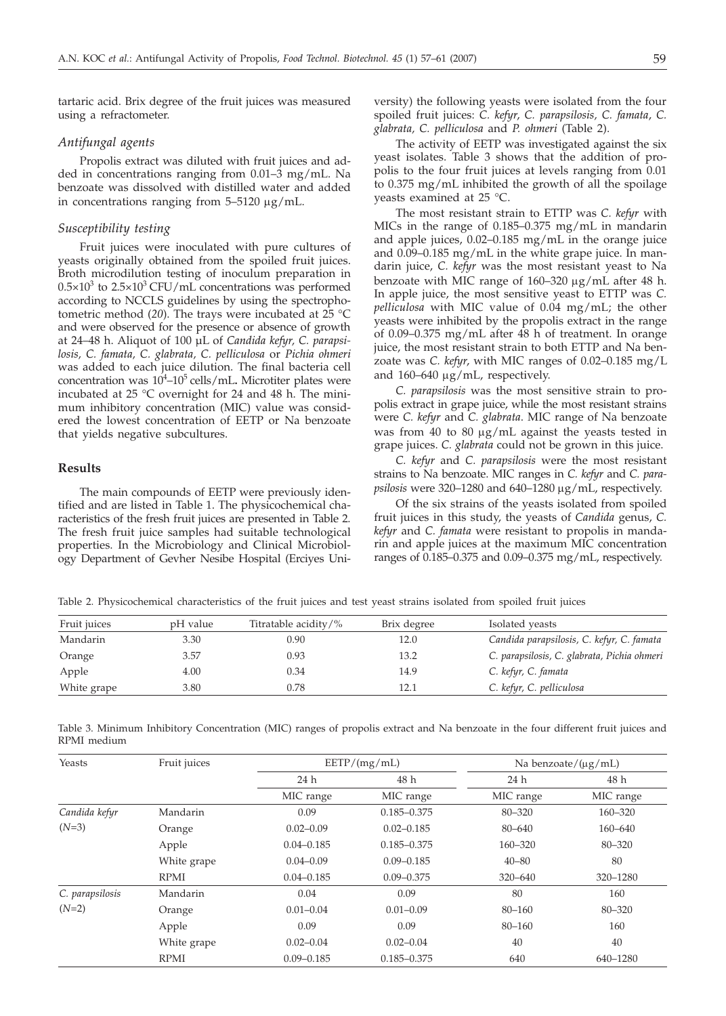tartaric acid. Brix degree of the fruit juices was measured using a refractometer.

## *Antifungal agents*

Propolis extract was diluted with fruit juices and added in concentrations ranging from 0.01–3 mg/mL. Na benzoate was dissolved with distilled water and added in concentrations ranging from  $5-5120 \mu g/mL$ .

#### *Susceptibility testing*

Fruit juices were inoculated with pure cultures of yeasts originally obtained from the spoiled fruit juices. Broth microdilution testing of inoculum preparation in  $0.5\times10^3$  to  $2.5\times10^3$  CFU/mL concentrations was performed according to NCCLS guidelines by using the spectrophotometric method (*20*). The trays were incubated at 25 °C and were observed for the presence or absence of growth at 24–48 h. Aliquot of 100 µL of *Candida kefyr, C. parapsilosis, C. famata, C. glabrata, C. pelliculosa* or *Pichia ohmeri* was added to each juice dilution. The final bacteria cell concentration was  $10^4$ – $10^5$  cells/mL. Microtiter plates were incubated at 25 °C overnight for 24 and 48 h. The minimum inhibitory concentration (MIC) value was considered the lowest concentration of EETP or Na benzoate that yields negative subcultures.

## **Results**

The main compounds of EETP were previously identified and are listed in Table 1. The physicochemical characteristics of the fresh fruit juices are presented in Table 2. The fresh fruit juice samples had suitable technological properties. In the Microbiology and Clinical Microbiology Department of Gevher Nesibe Hospital (Erciyes Uni-

versity) the following yeasts were isolated from the four spoiled fruit juices: *C. kefyr*, *C. parapsilosis, C. famata*, *C. glabrata, C. pelliculosa* and *P. ohmeri* (Table 2).

The activity of EETP was investigated against the six yeast isolates. Table 3 shows that the addition of propolis to the four fruit juices at levels ranging from 0.01 to 0.375 mg/mL inhibited the growth of all the spoilage yeasts examined at 25 °C.

The most resistant strain to ETTP was *C. kefyr* with MICs in the range of 0.185–0.375 mg/mL in mandarin and apple juices, 0.02–0.185 mg/mL in the orange juice and 0.09–0.185 mg/mL in the white grape juice. In mandarin juice, *C. kefyr* was the most resistant yeast to Na benzoate with MIC range of  $160-320 \mu g/mL$  after 48 h. In apple juice, the most sensitive yeast to ETTP was *C. pelliculosa* with MIC value of 0.04 mg/mL; the other yeasts were inhibited by the propolis extract in the range of 0.09–0.375 mg/mL after 48 h of treatment. In orange juice, the most resistant strain to both ETTP and Na benzoate was *C. kefyr*, with MIC ranges of 0.02–0.185 mg/L and  $160-640 \mu g/mL$ , respectively.

*C. parapsilosis* was the most sensitive strain to propolis extract in grape juice, while the most resistant strains were *C. kefyr* and *C. glabrata*. MIC range of Na benzoate was from 40 to 80  $\mu$ g/mL against the yeasts tested in grape juices. *C. glabrata* could not be grown in this juice.

*C. kefyr* and *C. parapsilosis* were the most resistant strains to Na benzoate. MIC ranges in *C. kefyr* and *C. parapsilosis* were 320–1280 and 640–1280 mg/mL, respectively.

Of the six strains of the yeasts isolated from spoiled fruit juices in this study, the yeasts of *Candida* genus, *C. kefyr* and *C. famata* were resistant to propolis in mandarin and apple juices at the maximum MIC concentration ranges of 0.185–0.375 and 0.09–0.375 mg/mL, respectively.

Table 2. Physicochemical characteristics of the fruit juices and test yeast strains isolated from spoiled fruit juices

| Fruit juices | pH value | Titratable acidity/% | Brix degree | Isolated yeasts                             |
|--------------|----------|----------------------|-------------|---------------------------------------------|
| Mandarin     | 3.30     | 0.90                 | 12.0        | Candida parapsilosis, C. kefyr, C. famata   |
| Orange       | 3.57     | 0.93                 | 13.2        | C. parapsilosis, C. glabrata, Pichia ohmeri |
| Apple        | 4.00     | 0.34                 | 14.9        | C. kefyr, C. famata                         |
| White grape  | 3.80     | 0.78                 | 12.1        | C. kefyr, C. pelliculosa                    |

Table 3. Minimum Inhibitory Concentration (MIC) ranges of propolis extract and Na benzoate in the four different fruit juices and RPMI medium

| Yeasts          | Fruit juices | EETP/(mg/mL)   |                 | Na benzoate/ $(\mu g/mL)$ |             |  |
|-----------------|--------------|----------------|-----------------|---------------------------|-------------|--|
|                 |              | 24 h           | 48 h            | 24 h                      | 48 h        |  |
|                 |              | MIC range      | MIC range       | MIC range                 | MIC range   |  |
| Candida kefyr   | Mandarin     | 0.09           | $0.185 - 0.375$ | $80 - 320$                | 160-320     |  |
| $(N=3)$         | Orange       | $0.02 - 0.09$  | $0.02 - 0.185$  | $80 - 640$                | $160 - 640$ |  |
|                 | Apple        | $0.04 - 0.185$ | $0.185 - 0.375$ | 160-320                   | 80-320      |  |
|                 | White grape  | $0.04 - 0.09$  | $0.09 - 0.185$  | $40 - 80$                 | 80          |  |
|                 | <b>RPMI</b>  | $0.04 - 0.185$ | $0.09 - 0.375$  | $320 - 640$               | 320-1280    |  |
| C. parapsilosis | Mandarin     | 0.04           | 0.09            | 80                        | 160         |  |
| $(N=2)$         | Orange       | $0.01 - 0.04$  | $0.01 - 0.09$   | $80 - 160$                | 80-320      |  |
|                 | Apple        | 0.09           | 0.09            | $80 - 160$                | 160         |  |
|                 | White grape  | $0.02 - 0.04$  | $0.02 - 0.04$   | 40                        | 40          |  |
|                 | <b>RPMI</b>  | $0.09 - 0.185$ | $0.185 - 0.375$ | 640                       | 640-1280    |  |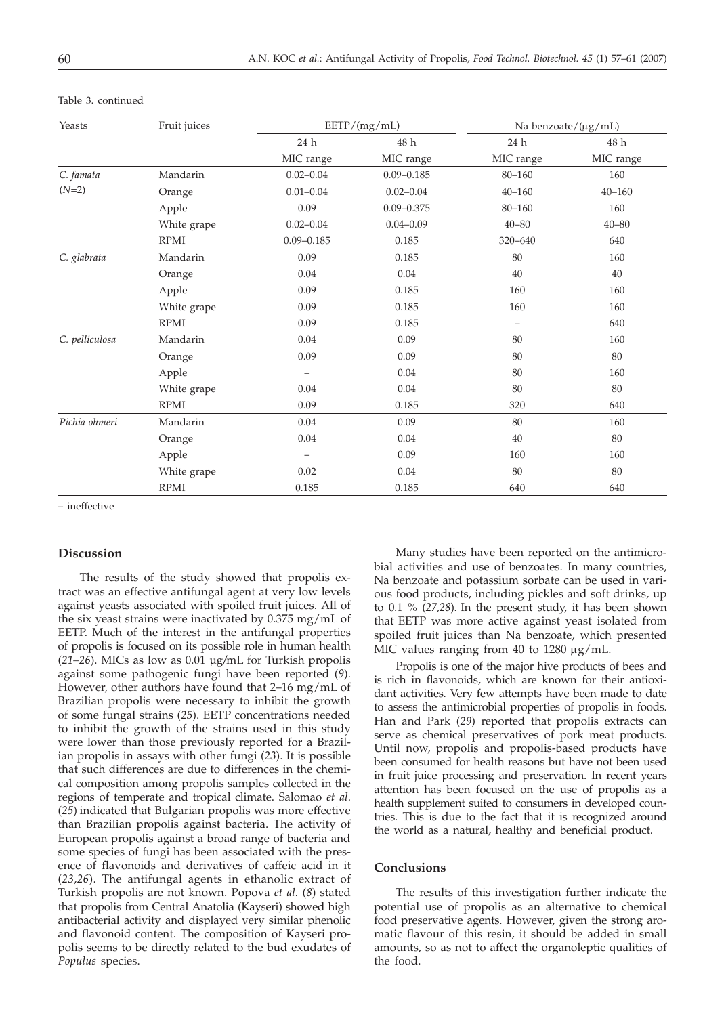| Yeasts         | Fruit juices |                | EETP/(mg/mL)   | Na benzoate/ $(\mu g/mL)$ |            |  |
|----------------|--------------|----------------|----------------|---------------------------|------------|--|
|                |              | 24 h           | 48 h           | 24 h                      | 48 h       |  |
|                |              | MIC range      | MIC range      | MIC range                 | MIC range  |  |
| C. famata      | Mandarin     | $0.02 - 0.04$  | $0.09 - 0.185$ | 80-160                    | 160        |  |
| $(N=2)$        | Orange       | $0.01 - 0.04$  | $0.02 - 0.04$  | $40 - 160$                | $40 - 160$ |  |
|                | Apple        | 0.09           | $0.09 - 0.375$ | 80-160                    | 160        |  |
|                | White grape  | $0.02 - 0.04$  | $0.04 - 0.09$  | $40 - 80$                 | $40 - 80$  |  |
|                | <b>RPMI</b>  | $0.09 - 0.185$ | 0.185          | 320-640                   | 640        |  |
| C. glabrata    | Mandarin     | 0.09           | 0.185          | 80                        | 160        |  |
|                | Orange       | 0.04           | 0.04           | 40                        | 40         |  |
|                | Apple        | 0.09           | 0.185          | 160                       | 160        |  |
|                | White grape  | 0.09           | 0.185          | 160                       | 160        |  |
|                | <b>RPMI</b>  | 0.09           | 0.185          | $\overline{\phantom{0}}$  | 640        |  |
| C. pelliculosa | Mandarin     | 0.04           | 0.09           | 80                        | 160        |  |
|                | Orange       | 0.09           | 0.09           | 80                        | 80         |  |
|                | Apple        |                | 0.04           | 80                        | 160        |  |
|                | White grape  | 0.04           | 0.04           | 80                        | $80\,$     |  |
|                | <b>RPMI</b>  | 0.09           | 0.185          | 320                       | 640        |  |
| Pichia ohmeri  | Mandarin     | 0.04           | 0.09           | 80                        | 160        |  |
|                | Orange       | 0.04           | 0.04           | 40                        | $80\,$     |  |
|                | Apple        |                | 0.09           | 160                       | 160        |  |
|                | White grape  | 0.02           | 0.04           | 80                        | 80         |  |
|                | <b>RPMI</b>  | 0.185          | 0.185          | 640                       | 640        |  |

Table 3. continued

– ineffective

## **Discussion**

The results of the study showed that propolis extract was an effective antifungal agent at very low levels against yeasts associated with spoiled fruit juices. All of the six yeast strains were inactivated by 0.375 mg/mL of EETP. Much of the interest in the antifungal properties of propolis is focused on its possible role in human health (*21–26*). MICs as low as 0.01 µg*/*mL for Turkish propolis against some pathogenic fungi have been reported (*9*). However, other authors have found that 2–16 mg/mL of Brazilian propolis were necessary to inhibit the growth of some fungal strains (*25*). EETP concentrations needed to inhibit the growth of the strains used in this study were lower than those previously reported for a Brazilian propolis in assays with other fungi (*23*). It is possible that such differences are due to differences in the chemical composition among propolis samples collected in the regions of temperate and tropical climate. Salomao *et al*. (*25*) indicated that Bulgarian propolis was more effective than Brazilian propolis against bacteria. The activity of European propolis against a broad range of bacteria and some species of fungi has been associated with the presence of flavonoids and derivatives of caffeic acid in it (*23,26*). The antifungal agents in ethanolic extract of Turkish propolis are not known. Popova *et al.* (*8*) stated that propolis from Central Anatolia (Kayseri) showed high antibacterial activity and displayed very similar phenolic and flavonoid content. The composition of Kayseri propolis seems to be directly related to the bud exudates of *Populus* species.

Many studies have been reported on the antimicrobial activities and use of benzoates. In many countries, Na benzoate and potassium sorbate can be used in various food products, including pickles and soft drinks, up to 0.1 % (*27,28*). In the present study, it has been shown that EETP was more active against yeast isolated from spoiled fruit juices than Na benzoate, which presented MIC values ranging from 40 to  $1280 \mu g/mL$ .

Propolis is one of the major hive products of bees and is rich in flavonoids, which are known for their antioxidant activities. Very few attempts have been made to date to assess the antimicrobial properties of propolis in foods. Han and Park (*29*) reported that propolis extracts can serve as chemical preservatives of pork meat products. Until now, propolis and propolis-based products have been consumed for health reasons but have not been used in fruit juice processing and preservation. In recent years attention has been focused on the use of propolis as a health supplement suited to consumers in developed countries. This is due to the fact that it is recognized around the world as a natural, healthy and beneficial product.

## **Conclusions**

The results of this investigation further indicate the potential use of propolis as an alternative to chemical food preservative agents. However, given the strong aromatic flavour of this resin, it should be added in small amounts, so as not to affect the organoleptic qualities of the food.